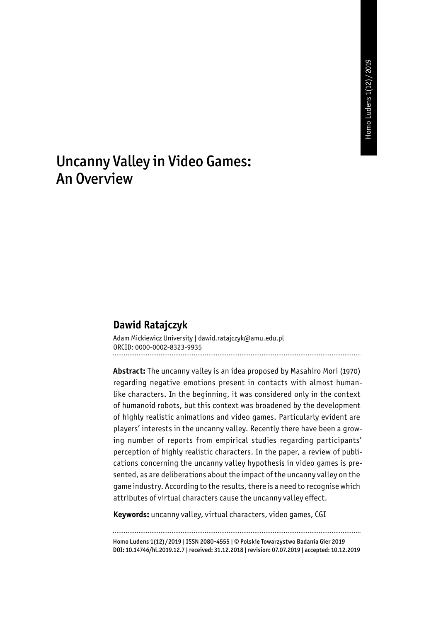# Uncanny Valley in Video Games: An Overview

#### **Dawid Ratajczyk**

Adam Mickiewicz University | dawid.ratajczyk@amu.edu.pl ORCID: 0000-0002-8323-9935

**Abstract:** The uncanny valley is an idea proposed by Masahiro Mori (1970) regarding negative emotions present in contacts with almost humanlike characters. In the beginning, it was considered only in the context of humanoid robots, but this context was broadened by the development of highly realistic animations and video games. Particularly evident are players' interests in the uncanny valley. Recently there have been a growing number of reports from empirical studies regarding participants' perception of highly realistic characters. In the paper, a review of publications concerning the uncanny valley hypothesis in video games is presented, as are deliberations about the impact of the uncanny valley on the game industry. According to the results, there is a need to recognise which attributes of virtual characters cause the uncanny valley effect.

**Keywords:** uncanny valley, virtual characters, video games, CGI

Homo Ludens 1(12)/2019 | ISSN 2080-4555 | © Polskie Towarzystwo Badania Gier 2019 DOI: 10.14746/hl.2019.12.7 | received: 31.12.2018 | revision: 07.07.2019 | accepted: 10.12.2019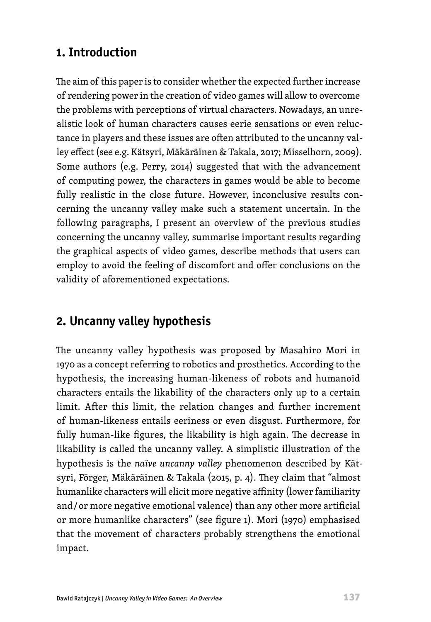# **1. Introduction**

The aim of this paper is to consider whether the expected further increase of rendering power in the creation of video games will allow to overcome the problems with perceptions of virtual characters. Nowadays, an unrealistic look of human characters causes eerie sensations or even reluctance in players and these issues are often attributed to the uncanny valley effect (see e.g. Kätsyri, Mäkäräinen & Takala, 2017; Misselhorn, 2009). Some authors (e.g. Perry, 2014) suggested that with the advancement of computing power, the characters in games would be able to become fully realistic in the close future. However, inconclusive results concerning the uncanny valley make such a statement uncertain. In the following paragraphs, I present an overview of the previous studies concerning the uncanny valley, summarise important results regarding the graphical aspects of video games, describe methods that users can employ to avoid the feeling of discomfort and offer conclusions on the validity of aforementioned expectations.

# **2. Uncanny valley hypothesis**

The uncanny valley hypothesis was proposed by Masahiro Mori in 1970 as a concept referring to robotics and prosthetics. According to the hypothesis, the increasing human-likeness of robots and humanoid characters entails the likability of the characters only up to a certain limit. After this limit, the relation changes and further increment of human-likeness entails eeriness or even disgust. Furthermore, for fully human-like figures, the likability is high again. The decrease in likability is called the uncanny valley. A simplistic illustration of the hypothesis is the *naïve uncanny valley* phenomenon described by Kätsyri, Förger, Mäkäräinen & Takala (2015, p. 4). They claim that "almost humanlike characters will elicit more negative affinity (lower familiarity and / or more negative emotional valence) than any other more artificial or more humanlike characters" (see figure 1). Mori (1970) emphasised that the movement of characters probably strengthens the emotional impact.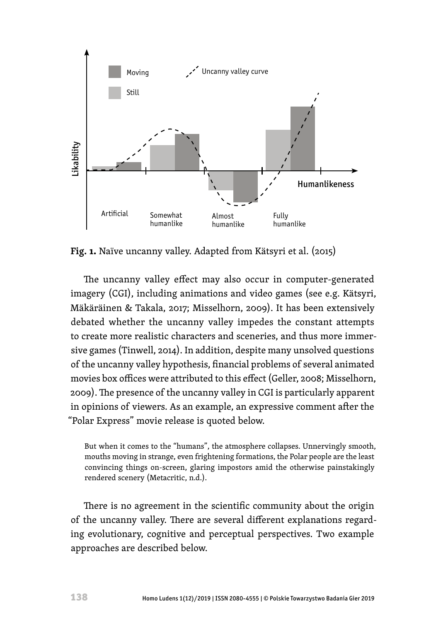

**Fig. 1.** Naïve uncanny valley. Adapted from Kätsyri et al. (2015)

The uncanny valley effect may also occur in computer-generated imagery (CGI), including animations and video games (see e.g. Kätsyri, Mäkäräinen & Takala, 2017; Misselhorn, 2009). It has been extensively debated whether the uncanny valley impedes the constant attempts to create more realistic characters and sceneries, and thus more immersive games (Tinwell, 2014). In addition, despite many unsolved questions of the uncanny valley hypothesis, financial problems of several animated movies box offices were attributed to this effect (Geller, 2008; Misselhorn, 2009). The presence of the uncanny valley in CGI is particularly apparent in opinions of viewers. As an example, an expressive comment after the "Polar Express" movie release is quoted below.

But when it comes to the "humans", the atmosphere collapses. Unnervingly smooth, mouths moving in strange, even frightening formations, the Polar people are the least convincing things on-screen, glaring impostors amid the otherwise painstakingly rendered scenery (Metacritic, n.d.).

There is no agreement in the scientific community about the origin of the uncanny valley. There are several different explanations regarding evolutionary, cognitive and perceptual perspectives. Two example approaches are described below.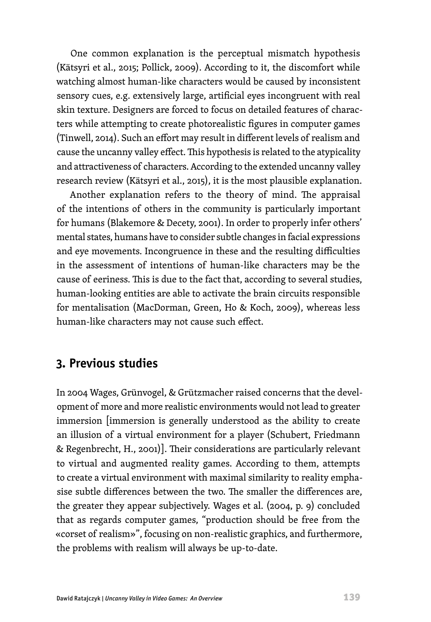One common explanation is the perceptual mismatch hypothesis (Kätsyri et al., 2015; Pollick, 2009). According to it, the discomfort while watching almost human-like characters would be caused by inconsistent sensory cues, e.g. extensively large, artificial eyes incongruent with real skin texture. Designers are forced to focus on detailed features of characters while attempting to create photorealistic figures in computer games (Tinwell, 2014). Such an effort may result in different levels of realism and cause the uncanny valley effect. This hypothesis is related to the atypicality and attractiveness of characters. According to the extended uncanny valley research review (Kätsyri et al., 2015), it is the most plausible explanation.

Another explanation refers to the theory of mind. The appraisal of the intentions of others in the community is particularly important for humans (Blakemore & Decety, 2001). In order to properly infer others' mental states, humans have to consider subtle changes in facial expressions and eye movements. Incongruence in these and the resulting difficulties in the assessment of intentions of human-like characters may be the cause of eeriness. This is due to the fact that, according to several studies, human-looking entities are able to activate the brain circuits responsible for mentalisation (MacDorman, Green, Ho & Koch, 2009), whereas less human-like characters may not cause such effect.

## **3. Previous studies**

In 2004 Wages, Grünvogel, & Grützmacher raised concerns that the development of more and more realistic environments would not lead to greater immersion [immersion is generally understood as the ability to create an illusion of a virtual environment for a player (Schubert, Friedmann & Regenbrecht, H., 2001)]. Their considerations are particularly relevant to virtual and augmented reality games. According to them, attempts to create a virtual environment with maximal similarity to reality emphasise subtle differences between the two. The smaller the differences are, the greater they appear subjectively. Wages et al. (2004, p. 9) concluded that as regards computer games, "production should be free from the «corset of realism»", focusing on non-realistic graphics, and furthermore, the problems with realism will always be up-to-date.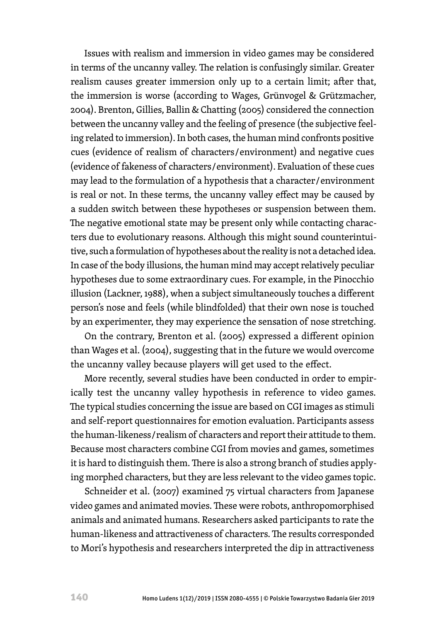Issues with realism and immersion in video games may be considered in terms of the uncanny valley. The relation is confusingly similar. Greater realism causes greater immersion only up to a certain limit; after that, the immersion is worse (according to Wages, Grünvogel & Grützmacher, 2004). Brenton, Gillies, Ballin & Chatting (2005) considered the connection between the uncanny valley and the feeling of presence (the subjective feeling related to immersion). In both cases, the human mind confronts positive cues (evidence of realism of characters / environment) and negative cues (evidence of fakeness of characters / environment). Evaluation of these cues may lead to the formulation of a hypothesis that a character / environment is real or not. In these terms, the uncanny valley effect may be caused by a sudden switch between these hypotheses or suspension between them. The negative emotional state may be present only while contacting characters due to evolutionary reasons. Although this might sound counterintuitive, such a formulation of hypotheses about the reality is not a detached idea. In case of the body illusions, the human mind may accept relatively peculiar hypotheses due to some extraordinary cues. For example, in the Pinocchio illusion (Lackner, 1988), when a subject simultaneously touches a different person's nose and feels (while blindfolded) that their own nose is touched by an experimenter, they may experience the sensation of nose stretching.

On the contrary, Brenton et al. (2005) expressed a different opinion than Wages et al. (2004), suggesting that in the future we would overcome the uncanny valley because players will get used to the effect.

More recently, several studies have been conducted in order to empirically test the uncanny valley hypothesis in reference to video games. The typical studies concerning the issue are based on CGI images as stimuli and self-report questionnaires for emotion evaluation. Participants assess the human-likeness / realism of characters and report their attitude to them. Because most characters combine CGI from movies and games, sometimes it is hard to distinguish them. There is also a strong branch of studies applying morphed characters, but they are less relevant to the video games topic.

Schneider et al. (2007) examined 75 virtual characters from Japanese video games and animated movies. These were robots, anthropomorphised animals and animated humans. Researchers asked participants to rate the human-likeness and attractiveness of characters. The results corresponded to Mori's hypothesis and researchers interpreted the dip in attractiveness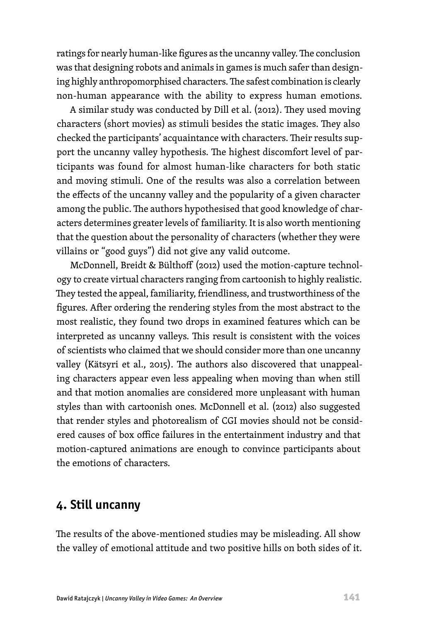ratings for nearly human-like figures as the uncanny valley. The conclusion was that designing robots and animals in games is much safer than designing highly anthropomorphised characters. The safest combination is clearly non-human appearance with the ability to express human emotions.

A similar study was conducted by Dill et al. (2012). They used moving characters (short movies) as stimuli besides the static images. They also checked the participants' acquaintance with characters. Their results support the uncanny valley hypothesis. The highest discomfort level of participants was found for almost human-like characters for both static and moving stimuli. One of the results was also a correlation between the effects of the uncanny valley and the popularity of a given character among the public. The authors hypothesised that good knowledge of characters determines greater levels of familiarity. It is also worth mentioning that the question about the personality of characters (whether they were villains or "good guys") did not give any valid outcome.

McDonnell, Breidt & Bülthoff (2012) used the motion-capture technology to create virtual characters ranging from cartoonish to highly realistic. They tested the appeal, familiarity, friendliness, and trustworthiness of the figures. After ordering the rendering styles from the most abstract to the most realistic, they found two drops in examined features which can be interpreted as uncanny valleys. This result is consistent with the voices of scientists who claimed that we should consider more than one uncanny valley (Kätsyri et al., 2015). The authors also discovered that unappealing characters appear even less appealing when moving than when still and that motion anomalies are considered more unpleasant with human styles than with cartoonish ones. McDonnell et al. (2012) also suggested that render styles and photorealism of CGI movies should not be considered causes of box office failures in the entertainment industry and that motion-captured animations are enough to convince participants about the emotions of characters.

#### **4. Still uncanny**

The results of the above-mentioned studies may be misleading. All show the valley of emotional attitude and two positive hills on both sides of it.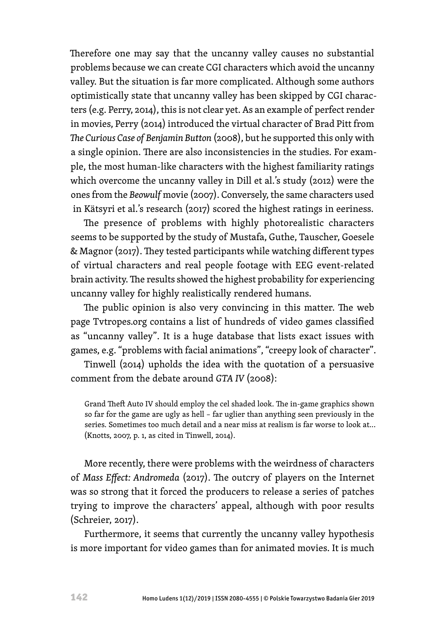Therefore one may say that the uncanny valley causes no substantial problems because we can create CGI characters which avoid the uncanny valley. But the situation is far more complicated. Although some authors optimistically state that uncanny valley has been skipped by CGI characters (e.g. Perry, 2014), this is not clear yet. As an example of perfect render in movies, Perry (2014) introduced the virtual character of Brad Pitt from *The Curious Case of Benjamin Button* (2008), but he supported this only with a single opinion. There are also inconsistencies in the studies. For example, the most human-like characters with the highest familiarity ratings which overcome the uncanny valley in Dill et al.'s study (2012) were the ones from the *Beowulf* movie (2007). Conversely, the same characters used in Kätsyri et al.'s research (2017) scored the highest ratings in eeriness.

The presence of problems with highly photorealistic characters seems to be supported by the study of Mustafa, Guthe, Tauscher, Goesele & Magnor (2017). They tested participants while watching different types of virtual characters and real people footage with EEG event-related brain activity. The results showed the highest probability for experiencing uncanny valley for highly realistically rendered humans.

The public opinion is also very convincing in this matter. The web page Tvtropes.org contains a list of hundreds of video games classified as "uncanny valley". It is a huge database that lists exact issues with games, e.g. "problems with facial animations", "creepy look of character".

Tinwell (2014) upholds the idea with the quotation of a persuasive comment from the debate around *GTA IV* (2008):

Grand Theft Auto IV should employ the cel shaded look. The in-game graphics shown so far for the game are ugly as hell – far uglier than anything seen previously in the series. Sometimes too much detail and a near miss at realism is far worse to look at... (Knotts, 2007, p. 1, as cited in Tinwell, 2014).

More recently, there were problems with the weirdness of characters of *Mass Effect: Andromeda* (2017). The outcry of players on the Internet was so strong that it forced the producers to release a series of patches trying to improve the characters' appeal, although with poor results (Schreier, 2017).

Furthermore, it seems that currently the uncanny valley hypothesis is more important for video games than for animated movies. It is much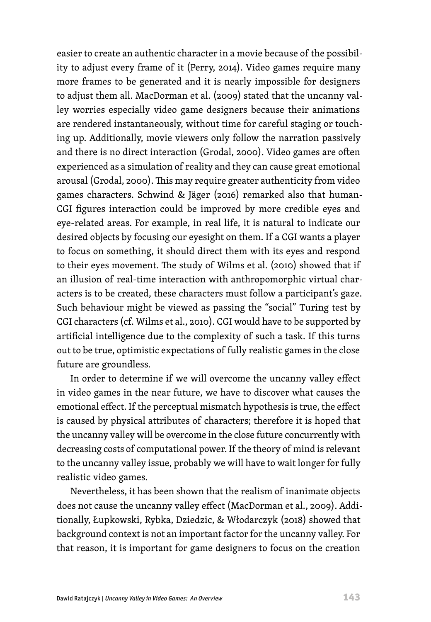easier to create an authentic character in a movie because of the possibility to adjust every frame of it (Perry, 2014). Video games require many more frames to be generated and it is nearly impossible for designers to adjust them all. MacDorman et al. (2009) stated that the uncanny valley worries especially video game designers because their animations are rendered instantaneously, without time for careful staging or touching up. Additionally, movie viewers only follow the narration passively and there is no direct interaction (Grodal, 2000). Video games are often experienced as a simulation of reality and they can cause great emotional arousal (Grodal, 2000). This may require greater authenticity from video games characters. Schwind & Jäger (2016) remarked also that human-CGI figures interaction could be improved by more credible eyes and eye-related areas. For example, in real life, it is natural to indicate our desired objects by focusing our eyesight on them. If a CGI wants a player to focus on something, it should direct them with its eyes and respond to their eyes movement. The study of Wilms et al. (2010) showed that if an illusion of real-time interaction with anthropomorphic virtual characters is to be created, these characters must follow a participant's gaze. Such behaviour might be viewed as passing the "social" Turing test by CGI characters (cf. Wilms et al., 2010). CGI would have to be supported by artificial intelligence due to the complexity of such a task. If this turns out to be true, optimistic expectations of fully realistic games in the close future are groundless.

In order to determine if we will overcome the uncanny valley effect in video games in the near future, we have to discover what causes the emotional effect. If the perceptual mismatch hypothesis is true, the effect is caused by physical attributes of characters; therefore it is hoped that the uncanny valley will be overcome in the close future concurrently with decreasing costs of computational power. If the theory of mind is relevant to the uncanny valley issue, probably we will have to wait longer for fully realistic video games.

Nevertheless, it has been shown that the realism of inanimate objects does not cause the uncanny valley effect (MacDorman et al., 2009). Additionally, Łupkowski, Rybka, Dziedzic, & Włodarczyk (2018) showed that background context is not an important factor for the uncanny valley. For that reason, it is important for game designers to focus on the creation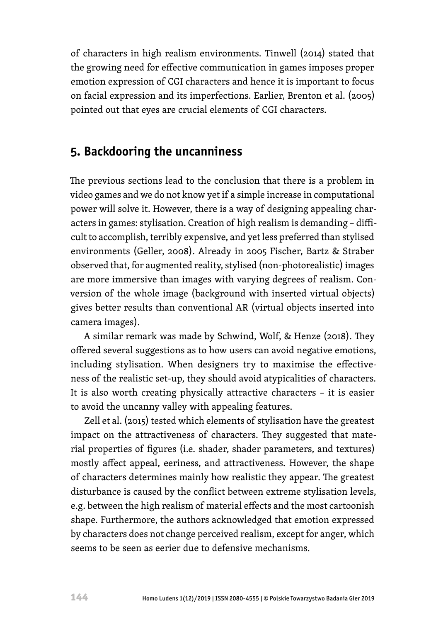of characters in high realism environments. Tinwell (2014) stated that the growing need for effective communication in games imposes proper emotion expression of CGI characters and hence it is important to focus on facial expression and its imperfections. Earlier, Brenton et al. (2005) pointed out that eyes are crucial elements of CGI characters.

## **5. Backdooring the uncanniness**

The previous sections lead to the conclusion that there is a problem in video games and we do not know yet if a simple increase in computational power will solve it. However, there is a way of designing appealing characters in games: stylisation. Creation of high realism is demanding – difficult to accomplish, terribly expensive, and yet less preferred than stylised environments (Geller, 2008). Already in 2005 Fischer, Bartz & Straber observed that, for augmented reality, stylised (non-photorealistic) images are more immersive than images with varying degrees of realism. Conversion of the whole image (background with inserted virtual objects) gives better results than conventional AR (virtual objects inserted into camera images).

A similar remark was made by Schwind, Wolf, & Henze (2018). They offered several suggestions as to how users can avoid negative emotions, including stylisation. When designers try to maximise the effectiveness of the realistic set-up, they should avoid atypicalities of characters. It is also worth creating physically attractive characters – it is easier to avoid the uncanny valley with appealing features.

Zell et al. (2015) tested which elements of stylisation have the greatest impact on the attractiveness of characters. They suggested that material properties of figures (i.e. shader, shader parameters, and textures) mostly affect appeal, eeriness, and attractiveness. However, the shape of characters determines mainly how realistic they appear. The greatest disturbance is caused by the conflict between extreme stylisation levels, e.g. between the high realism of material effects and the most cartoonish shape. Furthermore, the authors acknowledged that emotion expressed by characters does not change perceived realism, except for anger, which seems to be seen as eerier due to defensive mechanisms.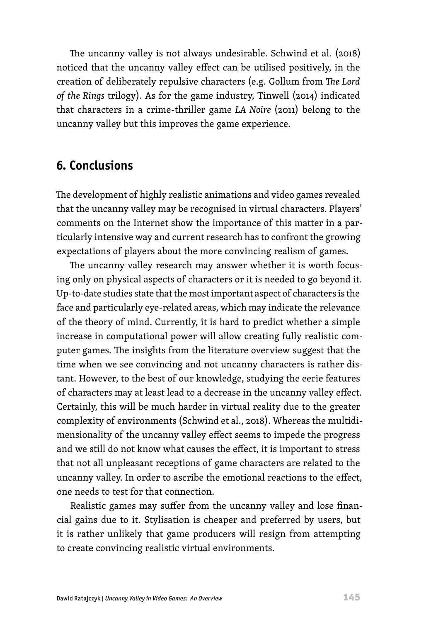The uncanny valley is not always undesirable. Schwind et al. (2018) noticed that the uncanny valley effect can be utilised positively, in the creation of deliberately repulsive characters (e.g. Gollum from *The Lord of the Rings* trilogy). As for the game industry, Tinwell (2014) indicated that characters in a crime-thriller game *LA Noire* (2011) belong to the uncanny valley but this improves the game experience.

#### **6. Conclusions**

The development of highly realistic animations and video games revealed that the uncanny valley may be recognised in virtual characters. Players' comments on the Internet show the importance of this matter in a particularly intensive way and current research has to confront the growing expectations of players about the more convincing realism of games.

The uncanny valley research may answer whether it is worth focusing only on physical aspects of characters or it is needed to go beyond it. Up-to-date studies state that the most important aspect of characters is the face and particularly eye-related areas, which may indicate the relevance of the theory of mind. Currently, it is hard to predict whether a simple increase in computational power will allow creating fully realistic computer games. The insights from the literature overview suggest that the time when we see convincing and not uncanny characters is rather distant. However, to the best of our knowledge, studying the eerie features of characters may at least lead to a decrease in the uncanny valley effect. Certainly, this will be much harder in virtual reality due to the greater complexity of environments (Schwind et al., 2018). Whereas the multidimensionality of the uncanny valley effect seems to impede the progress and we still do not know what causes the effect, it is important to stress that not all unpleasant receptions of game characters are related to the uncanny valley. In order to ascribe the emotional reactions to the effect, one needs to test for that connection.

Realistic games may suffer from the uncanny valley and lose financial gains due to it. Stylisation is cheaper and preferred by users, but it is rather unlikely that game producers will resign from attempting to create convincing realistic virtual environments.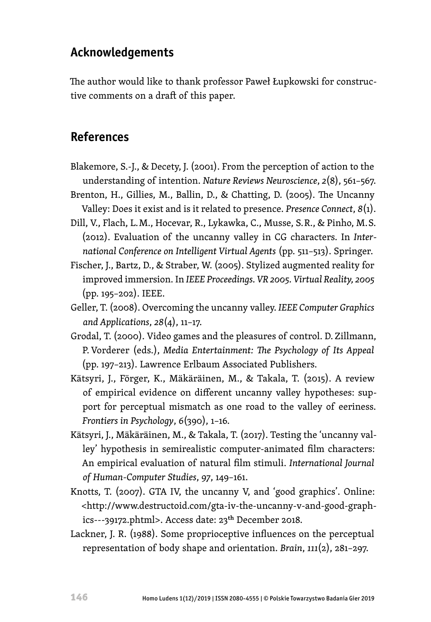## **Acknowledgements**

The author would like to thank professor Paweł Łupkowski for constructive comments on a draft of this paper.

## **References**

- Blakemore, S.-J., & Decety, J. (2001). From the perception of action to the understanding of intention. *Nature Reviews Neuroscience*, *2*(8), 561–567.
- Brenton, H., Gillies, M., Ballin, D., & Chatting, D. (2005). The Uncanny Valley: Does it exist and is it related to presence. *Presence Connect*, *8*(1).
- Dill, V., Flach, L. M., Hocevar, R., Lykawka, C., Musse, S. R., & Pinho, M. S. (2012). Evaluation of the uncanny valley in CG characters. In *International Conference on Intelligent Virtual Agents* (pp. 511–513). Springer.
- Fischer, J., Bartz, D., & Straber, W. (2005). Stylized augmented reality for improved immersion. In *IEEE Proceedings. VR 2005. Virtual Reality, 2005* (pp. 195–202). IEEE.
- Geller, T. (2008). Overcoming the uncanny valley. *IEEE Computer Graphics and Applications*, *28*(4), 11–17.
- Grodal, T. (2000). Video games and the pleasures of control. D. Zillmann, P. Vorderer (eds.), *Media Entertainment: The Psychology of Its Appeal* (pp. 197–213). Lawrence Erlbaum Associated Publishers.
- Kätsyri, J., Förger, K., Mäkäräinen, M., & Takala, T. (2015). A review of empirical evidence on different uncanny valley hypotheses: support for perceptual mismatch as one road to the valley of eeriness. *Frontiers in Psychology*, *6*(390), 1–16.
- Kätsyri, J., Mäkäräinen, M., & Takala, T. (2017). Testing the 'uncanny valley' hypothesis in semirealistic computer-animated film characters: An empirical evaluation of natural film stimuli. *International Journal of Human-Computer Studies*, *97*, 149–161.
- Knotts, T. (2007). GTA IV, the uncanny V, and 'good graphics'. Online: <http://www.destructoid.com/gta-iv-the-uncanny-v-and-good-graphics---39172.phtml>. Access date: 23th December 2018.
- Lackner, J. R. (1988). Some proprioceptive influences on the perceptual representation of body shape and orientation. *Brain*, *111*(2), 281–297.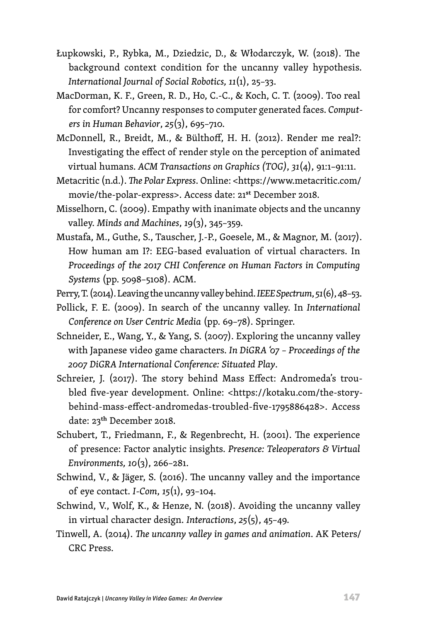- Łupkowski, P., Rybka, M., Dziedzic, D., & Włodarczyk, W. (2018). The background context condition for the uncanny valley hypothesis. *International Journal of Social Robotics, 11*(1), 25–33.
- MacDorman, K. F., Green, R. D., Ho, C.-C., & Koch, C. T. (2009). Too real for comfort? Uncanny responses to computer generated faces. *Computers in Human Behavior*, *25*(3), 695–710.
- McDonnell, R., Breidt, M., & Bülthoff, H. H. (2012). Render me real?: Investigating the effect of render style on the perception of animated virtual humans. *ACM Transactions on Graphics (TOG)*, *31*(4), 91:1–91:11.
- Metacritic (n.d.). *The Polar Express*. Online: [<https://www.metacritic.com/](https://www.metacritic.com/movie/the-polar-express) [movie/the-polar-express>](https://www.metacritic.com/movie/the-polar-express). Access date: 21st December 2018.
- Misselhorn, C. (2009). Empathy with inanimate objects and the uncanny valley. *Minds and Machines*, *19*(3), 345–359.
- Mustafa, M., Guthe, S., Tauscher, J.-P., Goesele, M., & Magnor, M. (2017). How human am I?: EEG-based evaluation of virtual characters. In *Proceedings of the 2017 CHI Conference on Human Factors in Computing Systems* (pp. 5098–5108). ACM.
- Perry, T. (2014). Leaving the uncanny valley behind. *IEEE Spectrum*, *51*(6), 48–53.
- Pollick, F. E. (2009). In search of the uncanny valley. In *International Conference on User Centric Media* (pp. 69–78). Springer.
- Schneider, E., Wang, Y., & Yang, S. (2007). Exploring the uncanny valley with Japanese video game characters. *In DiGRA '07 – Proceedings of the 2007 DiGRA International Conference: Situated Play*.
- Schreier, J. (2017). The story behind Mass Effect: Andromeda's troubled five-year development. Online: <https://kotaku.com/the-storybehind-mass-effect-andromedas-troubled-five-1795886428>. Access date: 23th December 2018.
- Schubert, T., Friedmann, F., & Regenbrecht, H. (2001). The experience of presence: Factor analytic insights. *Presence: Teleoperators & Virtual Environments, 10*(3), 266–281.
- Schwind, V., & Jäger, S. (2016). The uncanny valley and the importance of eye contact. *I-Com*, *15*(1), 93–104.
- Schwind, V., Wolf, K., & Henze, N. (2018). Avoiding the uncanny valley in virtual character design. *Interactions*, *25*(5), 45–49.
- Tinwell, A. (2014). *The uncanny valley in games and animation*. AK Peters/ CRC Press.